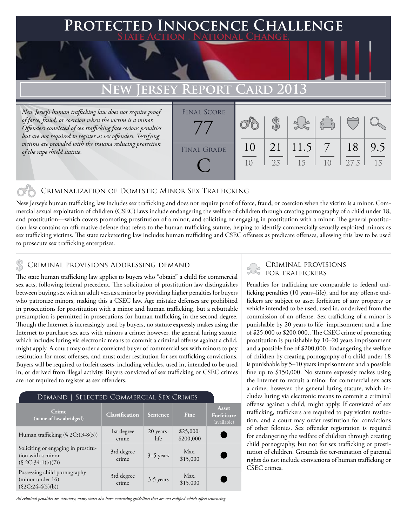### **FD INNOCENCE CHALLENGE State Action . National Change.**

## **EW JERSEY REPO**

*New Jersey's human trafficking law does not require proof of force, fraud, or coercion when the victim is a minor. Offenders convicted of sex trafficking face serious penalties but are not required to register as sex offenders. Testifying victims are provided with the trauma reducing protection of the rape shield statute.*

| <b>FINAL SCORE</b> |    |                 |          |                                                 |      |     |
|--------------------|----|-----------------|----------|-------------------------------------------------|------|-----|
|                    |    |                 |          |                                                 |      |     |
|                    |    |                 |          | $\begin{pmatrix} 0 & 0 \\ \hline \end{pmatrix}$ |      |     |
|                    |    |                 |          |                                                 |      |     |
| <b>FINAL GRADE</b> | 10 | 21              | $11.5$ 7 |                                                 | 18   | 9.5 |
|                    |    |                 |          |                                                 |      |     |
|                    | 10 | 25 <sup>2</sup> | 15       | 10                                              | 27.5 | 15  |
|                    |    |                 |          |                                                 |      |     |
|                    |    |                 |          |                                                 |      |     |

### Criminalization of Domestic Minor Sex Trafficking

New Jersey's human trafficking law includes sex trafficking and does not require proof of force, fraud, or coercion when the victim is a minor. Commercial sexual exploitation of children (CSEC) laws include endangering the welfare of children through creating pornography of a child under 18, and prostitution—which covers promoting prostitution of a minor, and soliciting or engaging in prostitution with a minor. The general prostitution law contains an affirmative defense that refers to the human trafficking statute, helping to identify commercially sexually exploited minors as sex trafficking victims. The state racketeering law includes human trafficking and CSEC offenses as predicate offenses, allowing this law to be used to prosecute sex trafficking enterprises.

### Criminal provisions Addressing demand

The state human trafficking law applies to buyers who "obtain" a child for commercial sex acts, following federal precedent. The solicitation of prostitution law distinguishes between buying sex with an adult versus a minor by providing higher penalties for buyers who patronize minors, making this a CSEC law. Age mistake defenses are prohibited in prosecutions for prostitution with a minor and human trafficking, but a rebuttable presumption is permitted in prosecutions for human trafficking in the second degree. Though the Internet is increasingly used by buyers, no statute expressly makes using the Internet to purchase sex acts with minors a crime; however, the general luring statute, which includes luring via electronic means to commit a criminal offense against a child, might apply. A court may order a convicted buyer of commercial sex with minors to pay restitution for most offenses, and must order restitution for sex trafficking convictions. Buyers will be required to forfeit assets, including vehicles, used in, intended to be used in, or derived from illegal activity. Buyers convicted of sex trafficking or CSEC crimes are not required to register as sex offenders.

| DEMAND   SELECTED COMMERCIAL SEX CRIMES                                        |                       |                   |                         |                                    |  |  |  |  |
|--------------------------------------------------------------------------------|-----------------------|-------------------|-------------------------|------------------------------------|--|--|--|--|
| Crime<br>(name of law abridged)                                                | <b>Classification</b> | Sentence          | Fine                    | Asset<br>Forfeiture<br>(available) |  |  |  |  |
| Human trafficking $(\S$ 2C:13-8(3))                                            | 1st degree<br>crime   | 20 years-<br>life | $$25,000-$<br>\$200,000 |                                    |  |  |  |  |
| Soliciting or engaging in prostitu-<br>tion with a minor<br>$($2C:34-1(b)(7))$ | 3rd degree<br>crime   | $3-5$ years       | Max.<br>\$15,000        |                                    |  |  |  |  |
| Possessing child pornography<br>(minor under 16)<br>$(\$2C:24-4(5)(b))$        | 3rd degree<br>crime   | 3-5 years         | Max.<br>\$15,000        |                                    |  |  |  |  |

*All criminal penalties are statutory; many states also have sentencing guidelines that are not codified which affect sentencing.* 

# Criminal provisions

Penalties for trafficking are comparable to federal trafficking penalties (10 years–life), and for any offense traffickers are subject to asset forfeiture of any property or vehicle intended to be used, used in, or derived from the commission of an offense. Sex trafficking of a minor is punishable by 20 years to life imprisonment and a fine of \$25,000 to \$200,000.. The CSEC crime of promoting prostitution is punishable by 10–20 years imprisonment and a possible fine of \$200,000. Endangering the welfare of children by creating pornography of a child under 18 is punishable by 5–10 years imprisonment and a possible fine up to \$150,000. No statute expressly makes using the Internet to recruit a minor for commercial sex acts a crime; however, the general luring statute, which includes luring via electronic means to commit a criminal offense against a child, might apply. If convicted of sex trafficking, traffickers are required to pay victim restitution, and a court may order restitution for convictions of other felonies. Sex offender registration is required for endangering the welfare of children through creating child pornography, but not for sex trafficking or prostitution of children. Grounds for ter-mination of parental rights do not include convictions of human trafficking or CSEC crimes.